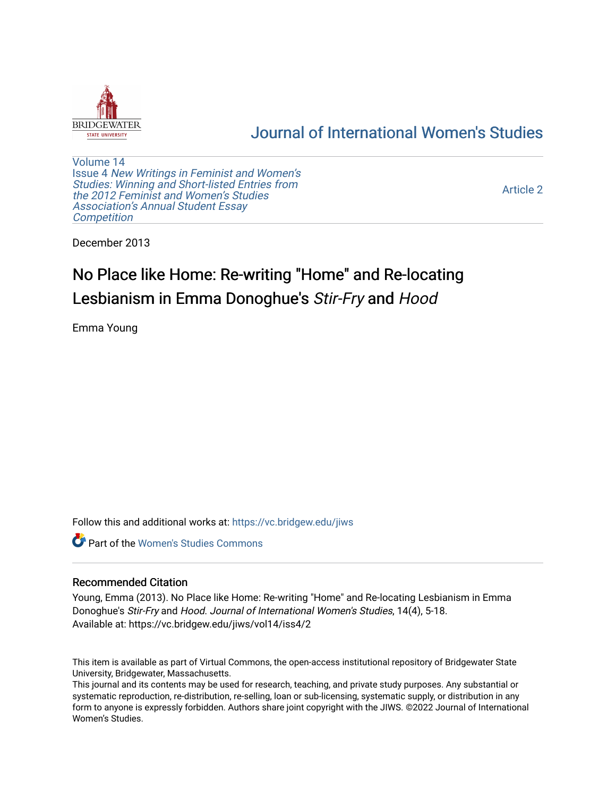

## [Journal of International Women's Studies](https://vc.bridgew.edu/jiws)

[Volume 14](https://vc.bridgew.edu/jiws/vol14) Issue 4 [New Writings in Feminist and Women's](https://vc.bridgew.edu/jiws/vol14/iss4)  [Studies: Winning and Short-listed Entries from](https://vc.bridgew.edu/jiws/vol14/iss4)  [the 2012 Feminist and Women's Studies](https://vc.bridgew.edu/jiws/vol14/iss4)  [Association's Annual Student Essay](https://vc.bridgew.edu/jiws/vol14/iss4) **Competition** 

[Article 2](https://vc.bridgew.edu/jiws/vol14/iss4/2) 

December 2013

# No Place like Home: Re-writing "Home" and Re-locating Lesbianism in Emma Donoghue's Stir-Fry and Hood

Emma Young

Follow this and additional works at: [https://vc.bridgew.edu/jiws](https://vc.bridgew.edu/jiws?utm_source=vc.bridgew.edu%2Fjiws%2Fvol14%2Fiss4%2F2&utm_medium=PDF&utm_campaign=PDFCoverPages)

Part of the [Women's Studies Commons](http://network.bepress.com/hgg/discipline/561?utm_source=vc.bridgew.edu%2Fjiws%2Fvol14%2Fiss4%2F2&utm_medium=PDF&utm_campaign=PDFCoverPages) 

### Recommended Citation

Young, Emma (2013). No Place like Home: Re-writing "Home" and Re-locating Lesbianism in Emma Donoghue's Stir-Fry and Hood. Journal of International Women's Studies, 14(4), 5-18. Available at: https://vc.bridgew.edu/jiws/vol14/iss4/2

This item is available as part of Virtual Commons, the open-access institutional repository of Bridgewater State University, Bridgewater, Massachusetts.

This journal and its contents may be used for research, teaching, and private study purposes. Any substantial or systematic reproduction, re-distribution, re-selling, loan or sub-licensing, systematic supply, or distribution in any form to anyone is expressly forbidden. Authors share joint copyright with the JIWS. ©2022 Journal of International Women's Studies.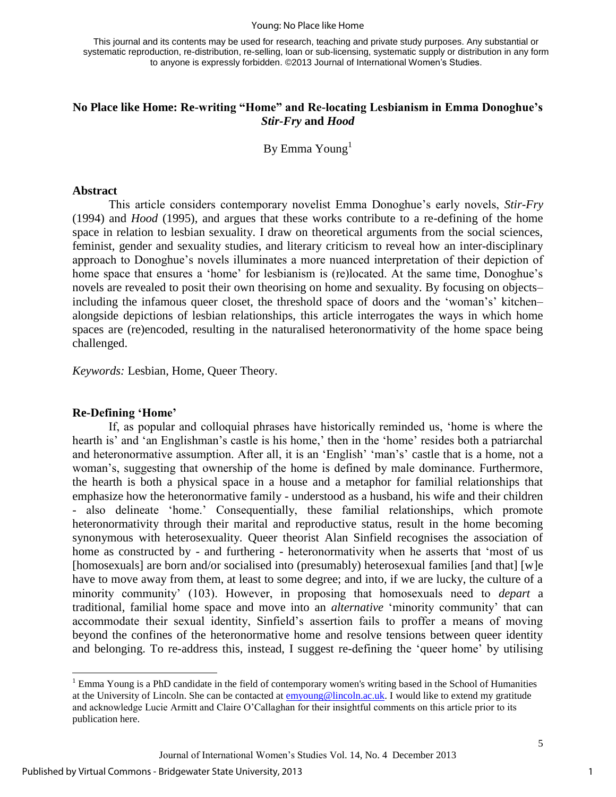#### Young: No Place like Home

This journal and its contents may be used for research, teaching and private study purposes. Any substantial or systematic reproduction, re-distribution, re-selling, loan or sub-licensing, systematic supply or distribution in any form to anyone is expressly forbidden. ©2013 Journal of International Women's Studies.

## **No Place like Home: Re-writing "Home" and Re-locating Lesbianism in Emma Donoghue's**  *Stir-Fry* **and** *Hood*

By Emma Young $<sup>1</sup>$ </sup>

#### **Abstract**

This article considers contemporary novelist Emma Donoghue's early novels, *Stir-Fry*  (1994) and *Hood* (1995), and argues that these works contribute to a re-defining of the home space in relation to lesbian sexuality. I draw on theoretical arguments from the social sciences, feminist, gender and sexuality studies, and literary criticism to reveal how an inter-disciplinary approach to Donoghue's novels illuminates a more nuanced interpretation of their depiction of home space that ensures a 'home' for lesbianism is (re)located. At the same time, Donoghue's novels are revealed to posit their own theorising on home and sexuality. By focusing on objects– including the infamous queer closet, the threshold space of doors and the 'woman's' kitchen– alongside depictions of lesbian relationships, this article interrogates the ways in which home spaces are (re)encoded, resulting in the naturalised heteronormativity of the home space being challenged.

*Keywords:* Lesbian, Home, Queer Theory.

#### **Re-Defining 'Home'**

 $\overline{\phantom{a}}$ 

If, as popular and colloquial phrases have historically reminded us, 'home is where the hearth is' and 'an Englishman's castle is his home,' then in the 'home' resides both a patriarchal and heteronormative assumption. After all, it is an 'English' 'man's' castle that is a home, not a woman's, suggesting that ownership of the home is defined by male dominance. Furthermore, the hearth is both a physical space in a house and a metaphor for familial relationships that emphasize how the heteronormative family - understood as a husband, his wife and their children - also delineate 'home.' Consequentially, these familial relationships, which promote heteronormativity through their marital and reproductive status, result in the home becoming synonymous with heterosexuality. Queer theorist Alan Sinfield recognises the association of home as constructed by - and furthering - heteronormativity when he asserts that 'most of us [homosexuals] are born and/or socialised into (presumably) heterosexual families [and that] [w]e have to move away from them, at least to some degree; and into, if we are lucky, the culture of a minority community' (103). However, in proposing that homosexuals need to *depart* a traditional, familial home space and move into an *alternative* 'minority community' that can accommodate their sexual identity, Sinfield's assertion fails to proffer a means of moving beyond the confines of the heteronormative home and resolve tensions between queer identity and belonging. To re-address this, instead, I suggest re-defining the 'queer home' by utilising

1

<sup>&</sup>lt;sup>1</sup> Emma Young is a PhD candidate in the field of contemporary women's writing based in the School of Humanities at the University of Lincoln. She can be contacted at [emyoung@lincoln.ac.uk.](mailto:emyoung@lincoln.ac.uk) I would like to extend my gratitude and acknowledge Lucie Armitt and Claire O'Callaghan for their insightful comments on this article prior to its publication here.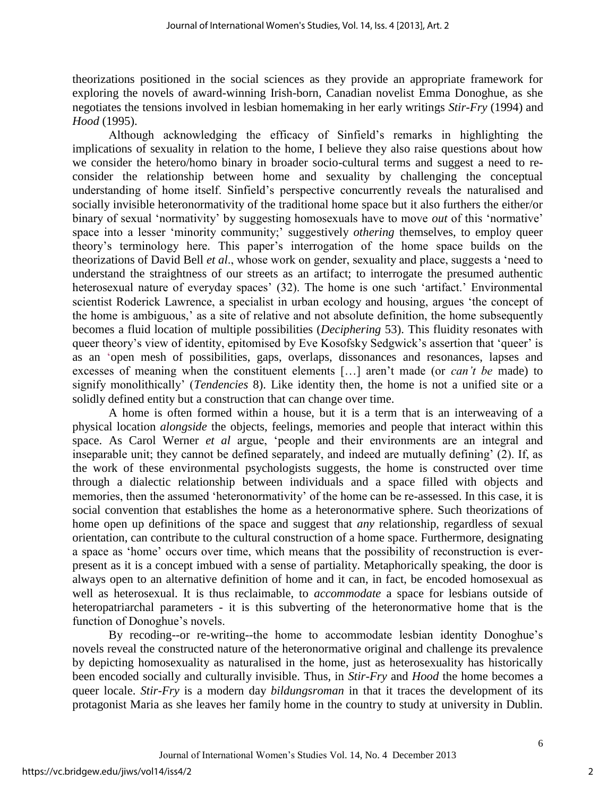theorizations positioned in the social sciences as they provide an appropriate framework for exploring the novels of award-winning Irish-born, Canadian novelist Emma Donoghue, as she negotiates the tensions involved in lesbian homemaking in her early writings *Stir-Fry* (1994) and *Hood* (1995).

Although acknowledging the efficacy of Sinfield's remarks in highlighting the implications of sexuality in relation to the home, I believe they also raise questions about how we consider the hetero/homo binary in broader socio-cultural terms and suggest a need to reconsider the relationship between home and sexuality by challenging the conceptual understanding of home itself. Sinfield's perspective concurrently reveals the naturalised and socially invisible heteronormativity of the traditional home space but it also furthers the either/or binary of sexual 'normativity' by suggesting homosexuals have to move *out* of this 'normative' space into a lesser 'minority community;' suggestively *othering* themselves, to employ queer theory's terminology here. This paper's interrogation of the home space builds on the theorizations of David Bell *et al*., whose work on gender, sexuality and place, suggests a 'need to understand the straightness of our streets as an artifact; to interrogate the presumed authentic heterosexual nature of everyday spaces' (32). The home is one such 'artifact.' Environmental scientist Roderick Lawrence, a specialist in urban ecology and housing, argues 'the concept of the home is ambiguous,' as a site of relative and not absolute definition, the home subsequently becomes a fluid location of multiple possibilities (*Deciphering* 53). This fluidity resonates with queer theory's view of identity, epitomised by Eve Kosofsky Sedgwick's assertion that 'queer' is as an 'open mesh of possibilities, gaps, overlaps, dissonances and resonances, lapses and excesses of meaning when the constituent elements […] aren't made (or *can't be* made) to signify monolithically' (*Tendencies* 8). Like identity then, the home is not a unified site or a solidly defined entity but a construction that can change over time.

A home is often formed within a house, but it is a term that is an interweaving of a physical location *alongside* the objects, feelings, memories and people that interact within this space. As Carol Werner *et al* argue, 'people and their environments are an integral and inseparable unit; they cannot be defined separately, and indeed are mutually defining' (2). If, as the work of these environmental psychologists suggests, the home is constructed over time through a dialectic relationship between individuals and a space filled with objects and memories, then the assumed 'heteronormativity' of the home can be re-assessed. In this case, it is social convention that establishes the home as a heteronormative sphere. Such theorizations of home open up definitions of the space and suggest that *any* relationship, regardless of sexual orientation, can contribute to the cultural construction of a home space. Furthermore, designating a space as 'home' occurs over time, which means that the possibility of reconstruction is everpresent as it is a concept imbued with a sense of partiality. Metaphorically speaking, the door is always open to an alternative definition of home and it can, in fact, be encoded homosexual as well as heterosexual. It is thus reclaimable, to *accommodate* a space for lesbians outside of heteropatriarchal parameters - it is this subverting of the heteronormative home that is the function of Donoghue's novels.

By recoding--or re-writing--the home to accommodate lesbian identity Donoghue's novels reveal the constructed nature of the heteronormative original and challenge its prevalence by depicting homosexuality as naturalised in the home, just as heterosexuality has historically been encoded socially and culturally invisible. Thus, in *Stir-Fry* and *Hood* the home becomes a queer locale. *Stir-Fry* is a modern day *bildungsroman* in that it traces the development of its protagonist Maria as she leaves her family home in the country to study at university in Dublin.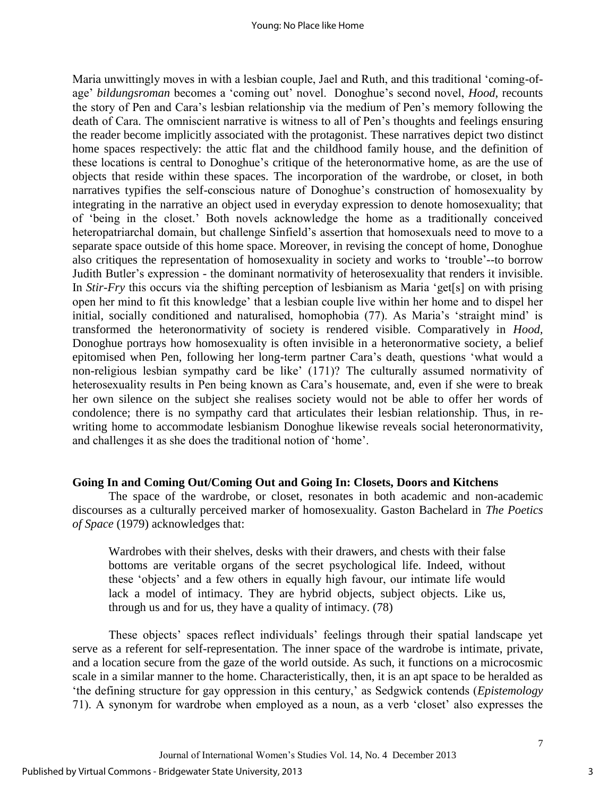Maria unwittingly moves in with a lesbian couple, Jael and Ruth, and this traditional 'coming-ofage' *bildungsroman* becomes a 'coming out' novel. Donoghue's second novel, *Hood*, recounts the story of Pen and Cara's lesbian relationship via the medium of Pen's memory following the death of Cara. The omniscient narrative is witness to all of Pen's thoughts and feelings ensuring the reader become implicitly associated with the protagonist. These narratives depict two distinct home spaces respectively: the attic flat and the childhood family house, and the definition of these locations is central to Donoghue's critique of the heteronormative home, as are the use of objects that reside within these spaces. The incorporation of the wardrobe, or closet, in both narratives typifies the self-conscious nature of Donoghue's construction of homosexuality by integrating in the narrative an object used in everyday expression to denote homosexuality; that of 'being in the closet.' Both novels acknowledge the home as a traditionally conceived heteropatriarchal domain, but challenge Sinfield's assertion that homosexuals need to move to a separate space outside of this home space. Moreover, in revising the concept of home, Donoghue also critiques the representation of homosexuality in society and works to 'trouble'--to borrow Judith Butler's expression - the dominant normativity of heterosexuality that renders it invisible. In *Stir-Fry* this occurs via the shifting perception of lesbianism as Maria 'get[s] on with prising open her mind to fit this knowledge' that a lesbian couple live within her home and to dispel her initial, socially conditioned and naturalised, homophobia (77). As Maria's 'straight mind' is transformed the heteronormativity of society is rendered visible. Comparatively in *Hood,*  Donoghue portrays how homosexuality is often invisible in a heteronormative society, a belief epitomised when Pen, following her long-term partner Cara's death, questions 'what would a non-religious lesbian sympathy card be like' (171)? The culturally assumed normativity of heterosexuality results in Pen being known as Cara's housemate, and, even if she were to break her own silence on the subject she realises society would not be able to offer her words of condolence; there is no sympathy card that articulates their lesbian relationship. Thus, in rewriting home to accommodate lesbianism Donoghue likewise reveals social heteronormativity, and challenges it as she does the traditional notion of 'home'.

## **Going In and Coming Out/Coming Out and Going In: Closets, Doors and Kitchens**

The space of the wardrobe, or closet, resonates in both academic and non-academic discourses as a culturally perceived marker of homosexuality. Gaston Bachelard in *The Poetics of Space* (1979) acknowledges that:

Wardrobes with their shelves, desks with their drawers, and chests with their false bottoms are veritable organs of the secret psychological life. Indeed, without these 'objects' and a few others in equally high favour, our intimate life would lack a model of intimacy. They are hybrid objects, subject objects. Like us, through us and for us, they have a quality of intimacy. (78)

These objects' spaces reflect individuals' feelings through their spatial landscape yet serve as a referent for self-representation. The inner space of the wardrobe is intimate, private, and a location secure from the gaze of the world outside. As such, it functions on a microcosmic scale in a similar manner to the home. Characteristically, then, it is an apt space to be heralded as 'the defining structure for gay oppression in this century,' as Sedgwick contends (*Epistemology*  71). A synonym for wardrobe when employed as a noun, as a verb 'closet' also expresses the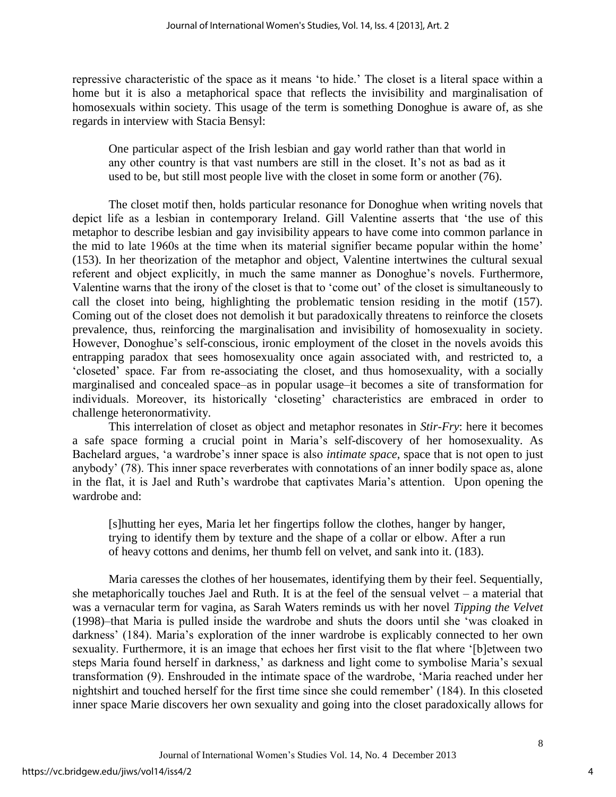repressive characteristic of the space as it means 'to hide.' The closet is a literal space within a home but it is also a metaphorical space that reflects the invisibility and marginalisation of homosexuals within society. This usage of the term is something Donoghue is aware of, as she regards in interview with Stacia Bensyl:

One particular aspect of the Irish lesbian and gay world rather than that world in any other country is that vast numbers are still in the closet. It's not as bad as it used to be, but still most people live with the closet in some form or another (76).

The closet motif then, holds particular resonance for Donoghue when writing novels that depict life as a lesbian in contemporary Ireland. Gill Valentine asserts that 'the use of this metaphor to describe lesbian and gay invisibility appears to have come into common parlance in the mid to late 1960s at the time when its material signifier became popular within the home' (153). In her theorization of the metaphor and object, Valentine intertwines the cultural sexual referent and object explicitly, in much the same manner as Donoghue's novels. Furthermore, Valentine warns that the irony of the closet is that to 'come out' of the closet is simultaneously to call the closet into being, highlighting the problematic tension residing in the motif (157). Coming out of the closet does not demolish it but paradoxically threatens to reinforce the closets prevalence, thus, reinforcing the marginalisation and invisibility of homosexuality in society. However, Donoghue's self-conscious, ironic employment of the closet in the novels avoids this entrapping paradox that sees homosexuality once again associated with, and restricted to, a 'closeted' space. Far from re-associating the closet, and thus homosexuality, with a socially marginalised and concealed space–as in popular usage–it becomes a site of transformation for individuals. Moreover, its historically 'closeting' characteristics are embraced in order to challenge heteronormativity.

This interrelation of closet as object and metaphor resonates in *Stir-Fry*: here it becomes a safe space forming a crucial point in Maria's self-discovery of her homosexuality. As Bachelard argues, 'a wardrobe's inner space is also *intimate space*, space that is not open to just anybody' (78). This inner space reverberates with connotations of an inner bodily space as, alone in the flat, it is Jael and Ruth's wardrobe that captivates Maria's attention. Upon opening the wardrobe and:

[s]hutting her eyes, Maria let her fingertips follow the clothes, hanger by hanger, trying to identify them by texture and the shape of a collar or elbow. After a run of heavy cottons and denims, her thumb fell on velvet, and sank into it. (183).

Maria caresses the clothes of her housemates, identifying them by their feel. Sequentially, she metaphorically touches Jael and Ruth. It is at the feel of the sensual velvet – a material that was a vernacular term for vagina, as Sarah Waters reminds us with her novel *Tipping the Velvet* (1998)–that Maria is pulled inside the wardrobe and shuts the doors until she 'was cloaked in darkness' (184). Maria's exploration of the inner wardrobe is explicably connected to her own sexuality. Furthermore, it is an image that echoes her first visit to the flat where '[b]etween two steps Maria found herself in darkness,' as darkness and light come to symbolise Maria's sexual transformation (9). Enshrouded in the intimate space of the wardrobe, 'Maria reached under her nightshirt and touched herself for the first time since she could remember' (184). In this closeted inner space Marie discovers her own sexuality and going into the closet paradoxically allows for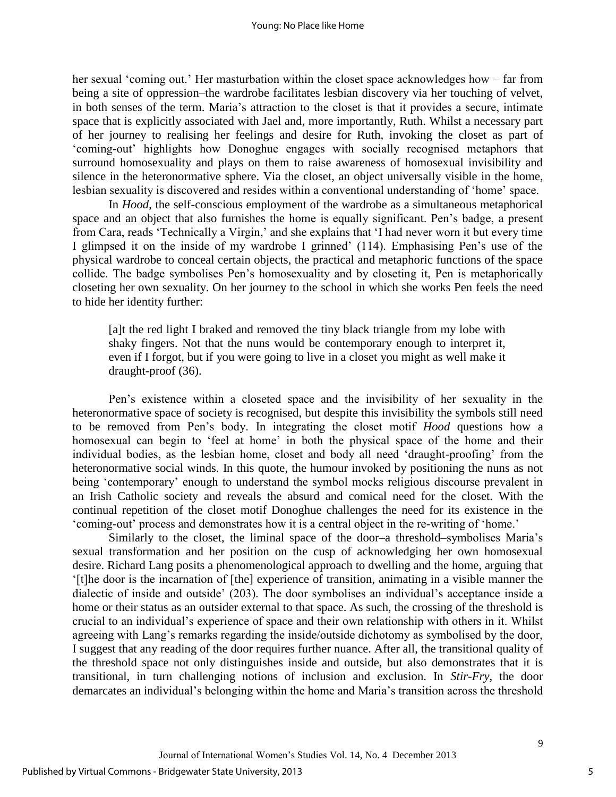her sexual 'coming out.' Her masturbation within the closet space acknowledges how – far from being a site of oppression–the wardrobe facilitates lesbian discovery via her touching of velvet, in both senses of the term. Maria's attraction to the closet is that it provides a secure, intimate space that is explicitly associated with Jael and, more importantly, Ruth. Whilst a necessary part of her journey to realising her feelings and desire for Ruth, invoking the closet as part of 'coming-out' highlights how Donoghue engages with socially recognised metaphors that surround homosexuality and plays on them to raise awareness of homosexual invisibility and silence in the heteronormative sphere. Via the closet, an object universally visible in the home, lesbian sexuality is discovered and resides within a conventional understanding of 'home' space.

In *Hood*, the self-conscious employment of the wardrobe as a simultaneous metaphorical space and an object that also furnishes the home is equally significant. Pen's badge, a present from Cara, reads 'Technically a Virgin,' and she explains that 'I had never worn it but every time I glimpsed it on the inside of my wardrobe I grinned' (114). Emphasising Pen's use of the physical wardrobe to conceal certain objects, the practical and metaphoric functions of the space collide. The badge symbolises Pen's homosexuality and by closeting it, Pen is metaphorically closeting her own sexuality. On her journey to the school in which she works Pen feels the need to hide her identity further:

[a]t the red light I braked and removed the tiny black triangle from my lobe with shaky fingers. Not that the nuns would be contemporary enough to interpret it, even if I forgot, but if you were going to live in a closet you might as well make it draught-proof (36).

Pen's existence within a closeted space and the invisibility of her sexuality in the heteronormative space of society is recognised, but despite this invisibility the symbols still need to be removed from Pen's body. In integrating the closet motif *Hood* questions how a homosexual can begin to 'feel at home' in both the physical space of the home and their individual bodies, as the lesbian home, closet and body all need 'draught-proofing' from the heteronormative social winds. In this quote, the humour invoked by positioning the nuns as not being 'contemporary' enough to understand the symbol mocks religious discourse prevalent in an Irish Catholic society and reveals the absurd and comical need for the closet. With the continual repetition of the closet motif Donoghue challenges the need for its existence in the 'coming-out' process and demonstrates how it is a central object in the re-writing of 'home.'

Similarly to the closet, the liminal space of the door–a threshold–symbolises Maria's sexual transformation and her position on the cusp of acknowledging her own homosexual desire. Richard Lang posits a phenomenological approach to dwelling and the home, arguing that '[t]he door is the incarnation of [the] experience of transition, animating in a visible manner the dialectic of inside and outside' (203). The door symbolises an individual's acceptance inside a home or their status as an outsider external to that space. As such, the crossing of the threshold is crucial to an individual's experience of space and their own relationship with others in it. Whilst agreeing with Lang's remarks regarding the inside/outside dichotomy as symbolised by the door, I suggest that any reading of the door requires further nuance. After all, the transitional quality of the threshold space not only distinguishes inside and outside, but also demonstrates that it is transitional, in turn challenging notions of inclusion and exclusion. In *Stir-Fry,* the door demarcates an individual's belonging within the home and Maria's transition across the threshold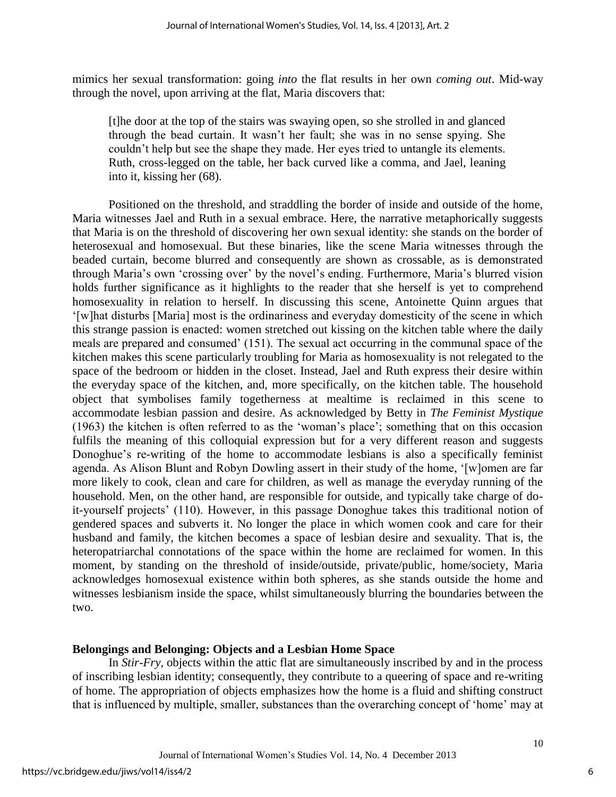mimics her sexual transformation: going *into* the flat results in her own *coming out*. Mid-way through the novel, upon arriving at the flat, Maria discovers that:

[t]he door at the top of the stairs was swaying open, so she strolled in and glanced through the bead curtain. It wasn't her fault; she was in no sense spying. She couldn't help but see the shape they made. Her eyes tried to untangle its elements. Ruth, cross-legged on the table, her back curved like a comma, and Jael, leaning into it, kissing her (68).

Positioned on the threshold, and straddling the border of inside and outside of the home, Maria witnesses Jael and Ruth in a sexual embrace. Here, the narrative metaphorically suggests that Maria is on the threshold of discovering her own sexual identity: she stands on the border of heterosexual and homosexual. But these binaries, like the scene Maria witnesses through the beaded curtain, become blurred and consequently are shown as crossable, as is demonstrated through Maria's own 'crossing over' by the novel's ending. Furthermore, Maria's blurred vision holds further significance as it highlights to the reader that she herself is yet to comprehend homosexuality in relation to herself. In discussing this scene, Antoinette Quinn argues that '[w]hat disturbs [Maria] most is the ordinariness and everyday domesticity of the scene in which this strange passion is enacted: women stretched out kissing on the kitchen table where the daily meals are prepared and consumed' (151). The sexual act occurring in the communal space of the kitchen makes this scene particularly troubling for Maria as homosexuality is not relegated to the space of the bedroom or hidden in the closet. Instead, Jael and Ruth express their desire within the everyday space of the kitchen, and, more specifically, on the kitchen table. The household object that symbolises family togetherness at mealtime is reclaimed in this scene to accommodate lesbian passion and desire. As acknowledged by Betty in *The Feminist Mystique* (1963) the kitchen is often referred to as the 'woman's place'; something that on this occasion fulfils the meaning of this colloquial expression but for a very different reason and suggests Donoghue's re-writing of the home to accommodate lesbians is also a specifically feminist agenda. As Alison Blunt and Robyn Dowling assert in their study of the home, '[w]omen are far more likely to cook, clean and care for children, as well as manage the everyday running of the household. Men, on the other hand, are responsible for outside, and typically take charge of doit-yourself projects' (110). However, in this passage Donoghue takes this traditional notion of gendered spaces and subverts it. No longer the place in which women cook and care for their husband and family, the kitchen becomes a space of lesbian desire and sexuality. That is, the heteropatriarchal connotations of the space within the home are reclaimed for women. In this moment, by standing on the threshold of inside/outside, private/public, home/society, Maria acknowledges homosexual existence within both spheres, as she stands outside the home and witnesses lesbianism inside the space, whilst simultaneously blurring the boundaries between the two.

## **Belongings and Belonging: Objects and a Lesbian Home Space**

In *Stir-Fry*, objects within the attic flat are simultaneously inscribed by and in the process of inscribing lesbian identity; consequently, they contribute to a queering of space and re-writing of home. The appropriation of objects emphasizes how the home is a fluid and shifting construct that is influenced by multiple, smaller, substances than the overarching concept of 'home' may at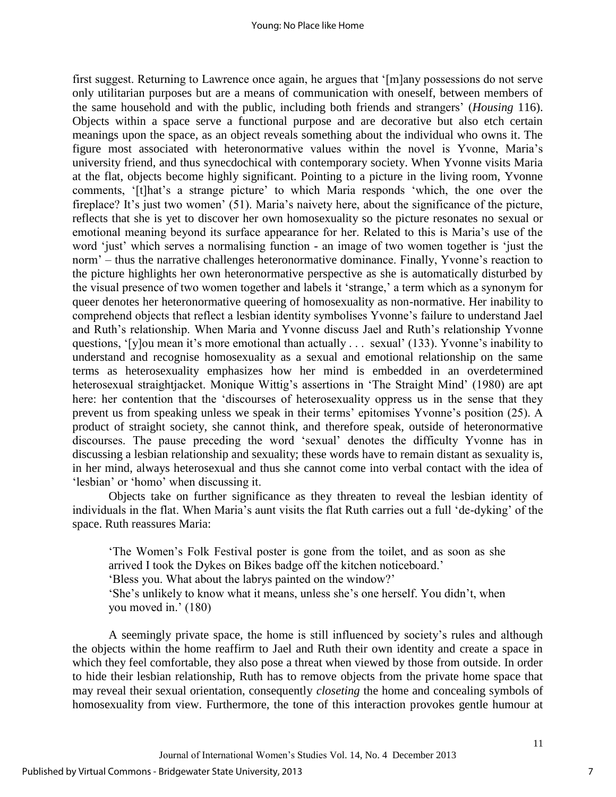first suggest. Returning to Lawrence once again, he argues that '[m]any possessions do not serve only utilitarian purposes but are a means of communication with oneself, between members of the same household and with the public, including both friends and strangers' (*Housing* 116). Objects within a space serve a functional purpose and are decorative but also etch certain meanings upon the space, as an object reveals something about the individual who owns it. The figure most associated with heteronormative values within the novel is Yvonne, Maria's university friend, and thus synecdochical with contemporary society. When Yvonne visits Maria at the flat, objects become highly significant. Pointing to a picture in the living room, Yvonne comments, '[t]hat's a strange picture' to which Maria responds 'which, the one over the fireplace? It's just two women' (51). Maria's naivety here, about the significance of the picture, reflects that she is yet to discover her own homosexuality so the picture resonates no sexual or emotional meaning beyond its surface appearance for her. Related to this is Maria's use of the word 'just' which serves a normalising function - an image of two women together is 'just the norm' – thus the narrative challenges heteronormative dominance. Finally, Yvonne's reaction to the picture highlights her own heteronormative perspective as she is automatically disturbed by the visual presence of two women together and labels it 'strange,' a term which as a synonym for queer denotes her heteronormative queering of homosexuality as non-normative. Her inability to comprehend objects that reflect a lesbian identity symbolises Yvonne's failure to understand Jael and Ruth's relationship. When Maria and Yvonne discuss Jael and Ruth's relationship Yvonne questions, '[y]ou mean it's more emotional than actually . . . sexual' (133). Yvonne's inability to understand and recognise homosexuality as a sexual and emotional relationship on the same terms as heterosexuality emphasizes how her mind is embedded in an overdetermined heterosexual straightjacket. Monique Wittig's assertions in 'The Straight Mind' (1980) are apt here: her contention that the 'discourses of heterosexuality oppress us in the sense that they prevent us from speaking unless we speak in their terms' epitomises Yvonne's position (25). A product of straight society, she cannot think, and therefore speak, outside of heteronormative discourses. The pause preceding the word 'sexual' denotes the difficulty Yvonne has in discussing a lesbian relationship and sexuality; these words have to remain distant as sexuality is, in her mind, always heterosexual and thus she cannot come into verbal contact with the idea of 'lesbian' or 'homo' when discussing it.

Objects take on further significance as they threaten to reveal the lesbian identity of individuals in the flat. When Maria's aunt visits the flat Ruth carries out a full 'de-dyking' of the space. Ruth reassures Maria:

'The Women's Folk Festival poster is gone from the toilet, and as soon as she arrived I took the Dykes on Bikes badge off the kitchen noticeboard.'

'Bless you. What about the labrys painted on the window?'

'She's unlikely to know what it means, unless she's one herself. You didn't, when you moved in.' (180)

A seemingly private space, the home is still influenced by society's rules and although the objects within the home reaffirm to Jael and Ruth their own identity and create a space in which they feel comfortable, they also pose a threat when viewed by those from outside. In order to hide their lesbian relationship, Ruth has to remove objects from the private home space that may reveal their sexual orientation, consequently *closeting* the home and concealing symbols of homosexuality from view. Furthermore, the tone of this interaction provokes gentle humour at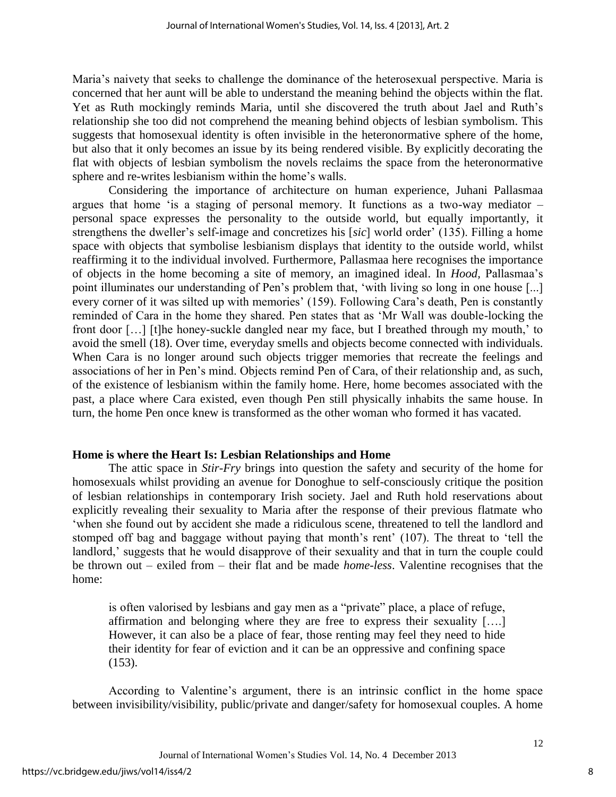Maria's naivety that seeks to challenge the dominance of the heterosexual perspective. Maria is concerned that her aunt will be able to understand the meaning behind the objects within the flat. Yet as Ruth mockingly reminds Maria, until she discovered the truth about Jael and Ruth's relationship she too did not comprehend the meaning behind objects of lesbian symbolism. This suggests that homosexual identity is often invisible in the heteronormative sphere of the home, but also that it only becomes an issue by its being rendered visible. By explicitly decorating the flat with objects of lesbian symbolism the novels reclaims the space from the heteronormative sphere and re-writes lesbianism within the home's walls.

Considering the importance of architecture on human experience, Juhani Pallasmaa argues that home 'is a staging of personal memory. It functions as a two-way mediator – personal space expresses the personality to the outside world, but equally importantly, it strengthens the dweller's self-image and concretizes his [*sic*] world order' (135). Filling a home space with objects that symbolise lesbianism displays that identity to the outside world, whilst reaffirming it to the individual involved. Furthermore, Pallasmaa here recognises the importance of objects in the home becoming a site of memory, an imagined ideal. In *Hood,* Pallasmaa's point illuminates our understanding of Pen's problem that, 'with living so long in one house [...] every corner of it was silted up with memories' (159). Following Cara's death, Pen is constantly reminded of Cara in the home they shared. Pen states that as 'Mr Wall was double-locking the front door […] [t]he honey-suckle dangled near my face, but I breathed through my mouth,' to avoid the smell (18). Over time, everyday smells and objects become connected with individuals. When Cara is no longer around such objects trigger memories that recreate the feelings and associations of her in Pen's mind. Objects remind Pen of Cara, of their relationship and, as such, of the existence of lesbianism within the family home. Here, home becomes associated with the past, a place where Cara existed, even though Pen still physically inhabits the same house. In turn, the home Pen once knew is transformed as the other woman who formed it has vacated.

## **Home is where the Heart Is: Lesbian Relationships and Home**

The attic space in *Stir-Fry* brings into question the safety and security of the home for homosexuals whilst providing an avenue for Donoghue to self-consciously critique the position of lesbian relationships in contemporary Irish society. Jael and Ruth hold reservations about explicitly revealing their sexuality to Maria after the response of their previous flatmate who 'when she found out by accident she made a ridiculous scene, threatened to tell the landlord and stomped off bag and baggage without paying that month's rent' (107). The threat to 'tell the landlord,' suggests that he would disapprove of their sexuality and that in turn the couple could be thrown out – exiled from – their flat and be made *home-less*. Valentine recognises that the home:

is often valorised by lesbians and gay men as a "private" place, a place of refuge, affirmation and belonging where they are free to express their sexuality [….] However, it can also be a place of fear, those renting may feel they need to hide their identity for fear of eviction and it can be an oppressive and confining space (153).

According to Valentine's argument, there is an intrinsic conflict in the home space between invisibility/visibility, public/private and danger/safety for homosexual couples. A home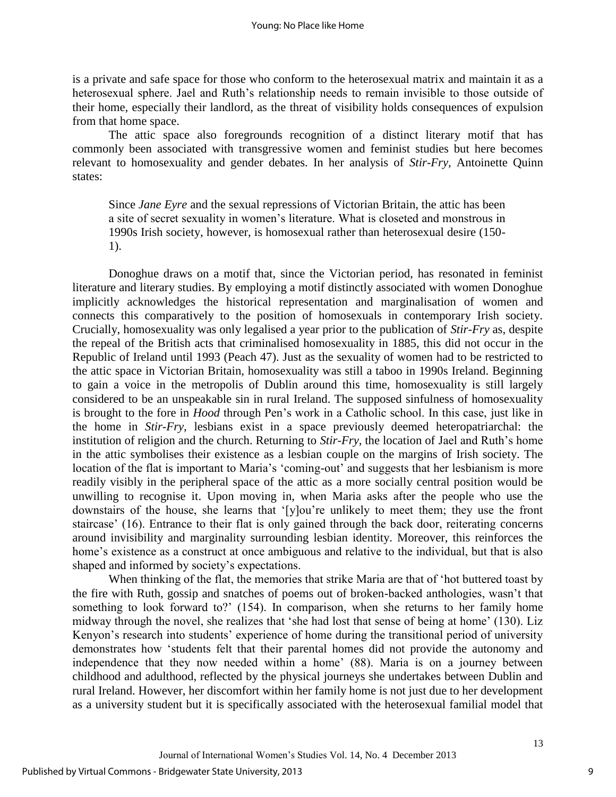is a private and safe space for those who conform to the heterosexual matrix and maintain it as a heterosexual sphere. Jael and Ruth's relationship needs to remain invisible to those outside of their home, especially their landlord, as the threat of visibility holds consequences of expulsion from that home space.

The attic space also foregrounds recognition of a distinct literary motif that has commonly been associated with transgressive women and feminist studies but here becomes relevant to homosexuality and gender debates. In her analysis of *Stir-Fry,* Antoinette Quinn states:

Since *Jane Eyre* and the sexual repressions of Victorian Britain, the attic has been a site of secret sexuality in women's literature. What is closeted and monstrous in 1990s Irish society, however, is homosexual rather than heterosexual desire (150- 1).

Donoghue draws on a motif that, since the Victorian period, has resonated in feminist literature and literary studies. By employing a motif distinctly associated with women Donoghue implicitly acknowledges the historical representation and marginalisation of women and connects this comparatively to the position of homosexuals in contemporary Irish society. Crucially, homosexuality was only legalised a year prior to the publication of *Stir-Fry* as, despite the repeal of the British acts that criminalised homosexuality in 1885, this did not occur in the Republic of Ireland until 1993 (Peach 47). Just as the sexuality of women had to be restricted to the attic space in Victorian Britain, homosexuality was still a taboo in 1990s Ireland. Beginning to gain a voice in the metropolis of Dublin around this time, homosexuality is still largely considered to be an unspeakable sin in rural Ireland. The supposed sinfulness of homosexuality is brought to the fore in *Hood* through Pen's work in a Catholic school. In this case, just like in the home in *Stir-Fry*, lesbians exist in a space previously deemed heteropatriarchal: the institution of religion and the church. Returning to *Stir-Fry,* the location of Jael and Ruth's home in the attic symbolises their existence as a lesbian couple on the margins of Irish society. The location of the flat is important to Maria's 'coming-out' and suggests that her lesbianism is more readily visibly in the peripheral space of the attic as a more socially central position would be unwilling to recognise it. Upon moving in, when Maria asks after the people who use the downstairs of the house, she learns that '[y]ou're unlikely to meet them; they use the front staircase' (16). Entrance to their flat is only gained through the back door, reiterating concerns around invisibility and marginality surrounding lesbian identity. Moreover, this reinforces the home's existence as a construct at once ambiguous and relative to the individual, but that is also shaped and informed by society's expectations.

When thinking of the flat, the memories that strike Maria are that of 'hot buttered toast by the fire with Ruth, gossip and snatches of poems out of broken-backed anthologies, wasn't that something to look forward to?' (154). In comparison, when she returns to her family home midway through the novel, she realizes that 'she had lost that sense of being at home' (130). Liz Kenyon's research into students' experience of home during the transitional period of university demonstrates how 'students felt that their parental homes did not provide the autonomy and independence that they now needed within a home' (88). Maria is on a journey between childhood and adulthood, reflected by the physical journeys she undertakes between Dublin and rural Ireland. However, her discomfort within her family home is not just due to her development as a university student but it is specifically associated with the heterosexual familial model that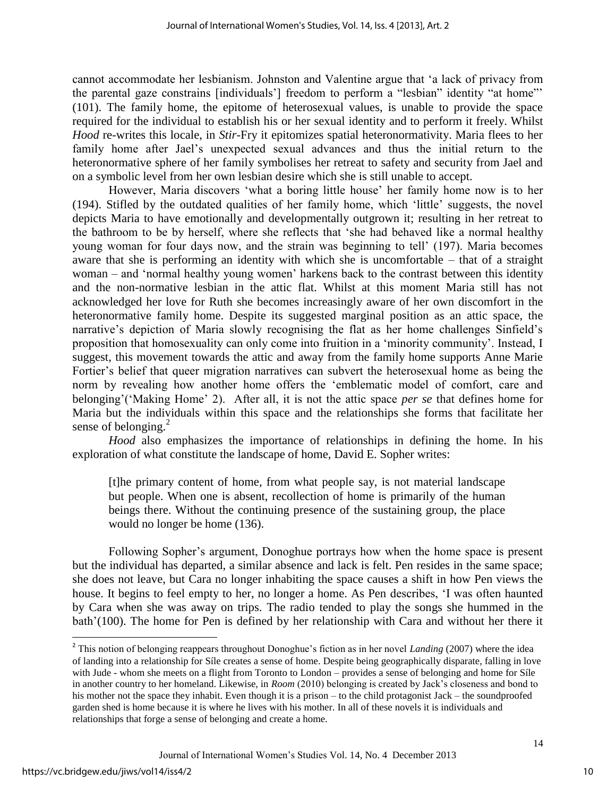cannot accommodate her lesbianism. Johnston and Valentine argue that 'a lack of privacy from the parental gaze constrains [individuals'] freedom to perform a "lesbian" identity "at home"' (101). The family home, the epitome of heterosexual values, is unable to provide the space required for the individual to establish his or her sexual identity and to perform it freely. Whilst *Hood* re-writes this locale, in *Stir-*Fry it epitomizes spatial heteronormativity. Maria flees to her family home after Jael's unexpected sexual advances and thus the initial return to the heteronormative sphere of her family symbolises her retreat to safety and security from Jael and on a symbolic level from her own lesbian desire which she is still unable to accept.

However, Maria discovers 'what a boring little house' her family home now is to her (194). Stifled by the outdated qualities of her family home, which 'little' suggests, the novel depicts Maria to have emotionally and developmentally outgrown it; resulting in her retreat to the bathroom to be by herself, where she reflects that 'she had behaved like a normal healthy young woman for four days now, and the strain was beginning to tell' (197). Maria becomes aware that she is performing an identity with which she is uncomfortable – that of a straight woman – and 'normal healthy young women' harkens back to the contrast between this identity and the non-normative lesbian in the attic flat. Whilst at this moment Maria still has not acknowledged her love for Ruth she becomes increasingly aware of her own discomfort in the heteronormative family home. Despite its suggested marginal position as an attic space, the narrative's depiction of Maria slowly recognising the flat as her home challenges Sinfield's proposition that homosexuality can only come into fruition in a 'minority community'. Instead, I suggest, this movement towards the attic and away from the family home supports Anne Marie Fortier's belief that queer migration narratives can subvert the heterosexual home as being the norm by revealing how another home offers the 'emblematic model of comfort, care and belonging'('Making Home' 2). After all, it is not the attic space *per se* that defines home for Maria but the individuals within this space and the relationships she forms that facilitate her sense of belonging. $^{2}$ 

*Hood* also emphasizes the importance of relationships in defining the home. In his exploration of what constitute the landscape of home, David E. Sopher writes:

[t]he primary content of home, from what people say, is not material landscape but people. When one is absent, recollection of home is primarily of the human beings there. Without the continuing presence of the sustaining group, the place would no longer be home (136).

Following Sopher's argument, Donoghue portrays how when the home space is present but the individual has departed, a similar absence and lack is felt. Pen resides in the same space; she does not leave, but Cara no longer inhabiting the space causes a shift in how Pen views the house. It begins to feel empty to her, no longer a home. As Pen describes, 'I was often haunted by Cara when she was away on trips. The radio tended to play the songs she hummed in the bath'(100). The home for Pen is defined by her relationship with Cara and without her there it

 $\overline{\phantom{a}}$ 

<sup>&</sup>lt;sup>2</sup> This notion of belonging reappears throughout Donoghue's fiction as in her novel *Landing* (2007) where the idea of landing into a relationship for Síle creates a sense of home. Despite being geographically disparate, falling in love with Jude - whom she meets on a flight from Toronto to London – provides a sense of belonging and home for Síle in another country to her homeland. Likewise, in *Room* (2010) belonging is created by Jack's closeness and bond to his mother not the space they inhabit. Even though it is a prison – to the child protagonist Jack – the soundproofed garden shed is home because it is where he lives with his mother. In all of these novels it is individuals and relationships that forge a sense of belonging and create a home.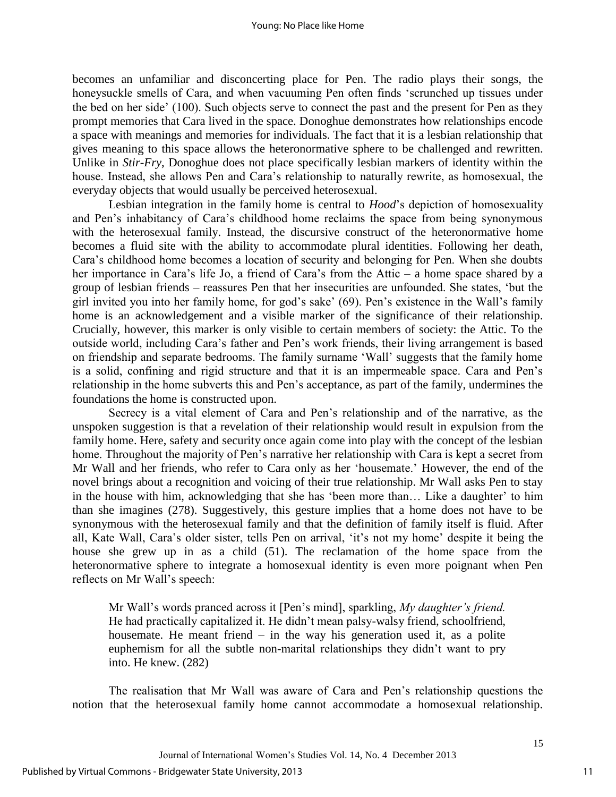becomes an unfamiliar and disconcerting place for Pen. The radio plays their songs, the honeysuckle smells of Cara, and when vacuuming Pen often finds 'scrunched up tissues under the bed on her side' (100). Such objects serve to connect the past and the present for Pen as they prompt memories that Cara lived in the space. Donoghue demonstrates how relationships encode a space with meanings and memories for individuals. The fact that it is a lesbian relationship that gives meaning to this space allows the heteronormative sphere to be challenged and rewritten. Unlike in *Stir-Fry*, Donoghue does not place specifically lesbian markers of identity within the house. Instead, she allows Pen and Cara's relationship to naturally rewrite, as homosexual, the everyday objects that would usually be perceived heterosexual.

Lesbian integration in the family home is central to *Hood*'s depiction of homosexuality and Pen's inhabitancy of Cara's childhood home reclaims the space from being synonymous with the heterosexual family. Instead, the discursive construct of the heteronormative home becomes a fluid site with the ability to accommodate plural identities. Following her death, Cara's childhood home becomes a location of security and belonging for Pen. When she doubts her importance in Cara's life Jo, a friend of Cara's from the Attic – a home space shared by a group of lesbian friends – reassures Pen that her insecurities are unfounded. She states, 'but the girl invited you into her family home, for god's sake' (69). Pen's existence in the Wall's family home is an acknowledgement and a visible marker of the significance of their relationship. Crucially, however, this marker is only visible to certain members of society: the Attic. To the outside world, including Cara's father and Pen's work friends, their living arrangement is based on friendship and separate bedrooms. The family surname 'Wall' suggests that the family home is a solid, confining and rigid structure and that it is an impermeable space. Cara and Pen's relationship in the home subverts this and Pen's acceptance, as part of the family, undermines the foundations the home is constructed upon.

Secrecy is a vital element of Cara and Pen's relationship and of the narrative, as the unspoken suggestion is that a revelation of their relationship would result in expulsion from the family home. Here, safety and security once again come into play with the concept of the lesbian home. Throughout the majority of Pen's narrative her relationship with Cara is kept a secret from Mr Wall and her friends, who refer to Cara only as her 'housemate.' However, the end of the novel brings about a recognition and voicing of their true relationship. Mr Wall asks Pen to stay in the house with him, acknowledging that she has 'been more than… Like a daughter' to him than she imagines (278). Suggestively, this gesture implies that a home does not have to be synonymous with the heterosexual family and that the definition of family itself is fluid. After all, Kate Wall, Cara's older sister, tells Pen on arrival, 'it's not my home' despite it being the house she grew up in as a child (51). The reclamation of the home space from the heteronormative sphere to integrate a homosexual identity is even more poignant when Pen reflects on Mr Wall's speech:

Mr Wall's words pranced across it [Pen's mind], sparkling, *My daughter's friend.*  He had practically capitalized it. He didn't mean palsy-walsy friend, schoolfriend, housemate. He meant friend  $-$  in the way his generation used it, as a polite euphemism for all the subtle non-marital relationships they didn't want to pry into. He knew. (282)

The realisation that Mr Wall was aware of Cara and Pen's relationship questions the notion that the heterosexual family home cannot accommodate a homosexual relationship.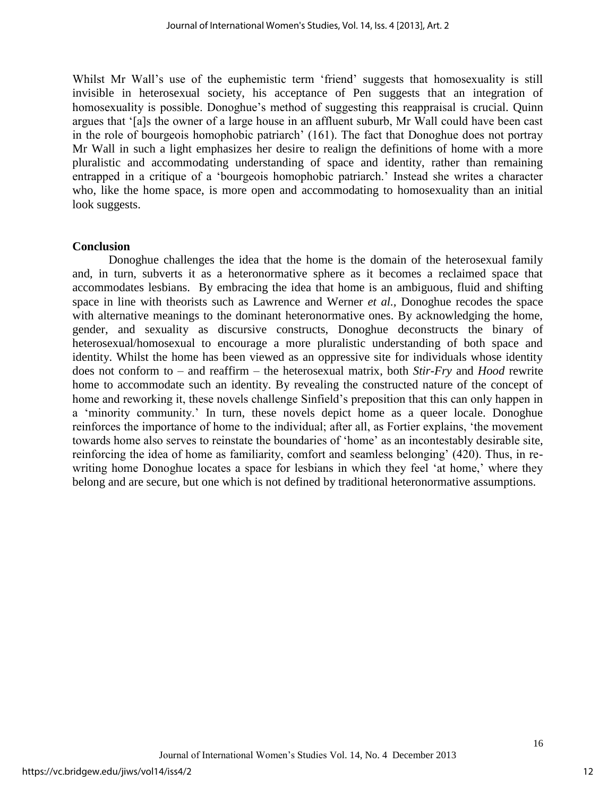Whilst Mr Wall's use of the euphemistic term 'friend' suggests that homosexuality is still invisible in heterosexual society, his acceptance of Pen suggests that an integration of homosexuality is possible. Donoghue's method of suggesting this reappraisal is crucial. Quinn argues that '[a]s the owner of a large house in an affluent suburb, Mr Wall could have been cast in the role of bourgeois homophobic patriarch' (161). The fact that Donoghue does not portray Mr Wall in such a light emphasizes her desire to realign the definitions of home with a more pluralistic and accommodating understanding of space and identity, rather than remaining entrapped in a critique of a 'bourgeois homophobic patriarch.' Instead she writes a character who, like the home space, is more open and accommodating to homosexuality than an initial look suggests.

## **Conclusion**

Donoghue challenges the idea that the home is the domain of the heterosexual family and, in turn, subverts it as a heteronormative sphere as it becomes a reclaimed space that accommodates lesbians. By embracing the idea that home is an ambiguous, fluid and shifting space in line with theorists such as Lawrence and Werner *et al.,* Donoghue recodes the space with alternative meanings to the dominant heteronormative ones. By acknowledging the home, gender, and sexuality as discursive constructs, Donoghue deconstructs the binary of heterosexual/homosexual to encourage a more pluralistic understanding of both space and identity. Whilst the home has been viewed as an oppressive site for individuals whose identity does not conform to – and reaffirm – the heterosexual matrix, both *Stir-Fry* and *Hood* rewrite home to accommodate such an identity. By revealing the constructed nature of the concept of home and reworking it, these novels challenge Sinfield's preposition that this can only happen in a 'minority community.' In turn, these novels depict home as a queer locale. Donoghue reinforces the importance of home to the individual; after all, as Fortier explains, 'the movement towards home also serves to reinstate the boundaries of 'home' as an incontestably desirable site, reinforcing the idea of home as familiarity, comfort and seamless belonging' (420). Thus, in rewriting home Donoghue locates a space for lesbians in which they feel 'at home,' where they belong and are secure, but one which is not defined by traditional heteronormative assumptions.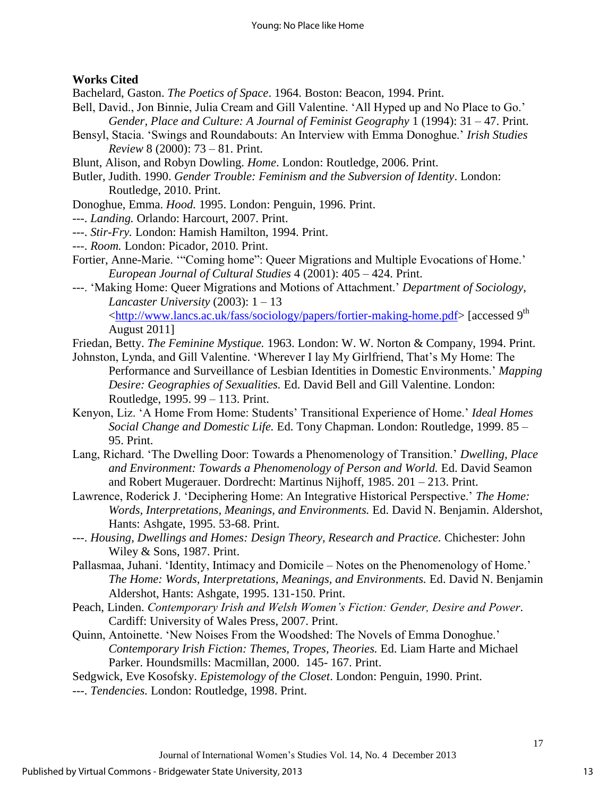## **Works Cited**

Bachelard, Gaston. *The Poetics of Space*. 1964. Boston: Beacon, 1994. Print.

- Bell, David., Jon Binnie, Julia Cream and Gill Valentine. 'All Hyped up and No Place to Go.' *Gender, Place and Culture: A Journal of Feminist Geography* 1 (1994): 31 – 47. Print.
- Bensyl, Stacia. 'Swings and Roundabouts: An Interview with Emma Donoghue.' *Irish Studies Review* 8 (2000): 73 – 81. Print.
- Blunt, Alison, and Robyn Dowling. *Home*. London: Routledge, 2006. Print.
- Butler, Judith. 1990. *Gender Trouble: Feminism and the Subversion of Identity*. London: Routledge, 2010. Print.
- Donoghue, Emma. *Hood.* 1995. London: Penguin, 1996. Print.
- ---. *Landing.* Orlando: Harcourt, 2007. Print.
- ---. *Stir-Fry.* London: Hamish Hamilton, 1994. Print.
- ---. *Room.* London: Picador, 2010. Print.
- Fortier, Anne-Marie. '"Coming home": Queer Migrations and Multiple Evocations of Home.' *European Journal of Cultural Studies* 4 (2001): 405 – 424. Print.
- ---. 'Making Home: Queer Migrations and Motions of Attachment.' *Department of Sociology, Lancaster University* (2003): 1 – 13 [<http://www.lancs.ac.uk/fass/sociology/papers/fortier-making-home.pdf>](http://www.lancs.ac.uk/fass/sociology/papers/fortier-making-home.pdf) [accessed 9th August 2011]
- Friedan, Betty. *The Feminine Mystique.* 1963. London: W. W. Norton & Company, 1994. Print.
- Johnston, Lynda, and Gill Valentine. 'Wherever I lay My Girlfriend, That's My Home: The Performance and Surveillance of Lesbian Identities in Domestic Environments.' *Mapping Desire: Geographies of Sexualities.* Ed. David Bell and Gill Valentine. London: Routledge, 1995. 99 – 113. Print.
- Kenyon, Liz. 'A Home From Home: Students' Transitional Experience of Home.' *Ideal Homes Social Change and Domestic Life.* Ed. Tony Chapman. London: Routledge, 1999. 85 – 95. Print.
- Lang, Richard. 'The Dwelling Door: Towards a Phenomenology of Transition.' *Dwelling, Place and Environment: Towards a Phenomenology of Person and World.* Ed. David Seamon and Robert Mugerauer. Dordrecht: Martinus Nijhoff, 1985. 201 – 213. Print.
- Lawrence, Roderick J. 'Deciphering Home: An Integrative Historical Perspective.' *The Home: Words, Interpretations, Meanings, and Environments.* Ed. David N. Benjamin. Aldershot, Hants: Ashgate, 1995. 53-68. Print.
- ---. *Housing, Dwellings and Homes: Design Theory, Research and Practice.* Chichester: John Wiley & Sons, 1987. Print.
- Pallasmaa, Juhani. 'Identity, Intimacy and Domicile Notes on the Phenomenology of Home.' *The Home: Words, Interpretations, Meanings, and Environments.* Ed. David N. Benjamin Aldershot, Hants: Ashgate, 1995. 131-150. Print.
- Peach, Linden. *Contemporary Irish and Welsh Women's Fiction: Gender, Desire and Power*. Cardiff: University of Wales Press, 2007. Print.
- Quinn, Antoinette. 'New Noises From the Woodshed: The Novels of Emma Donoghue.' *Contemporary Irish Fiction: Themes, Tropes, Theories.* Ed. Liam Harte and Michael Parker. Houndsmills: Macmillan, 2000. 145- 167. Print.
- Sedgwick, Eve Kosofsky. *Epistemology of the Closet*. London: Penguin, 1990. Print.
- ---. *Tendencies.* London: Routledge, 1998. Print.